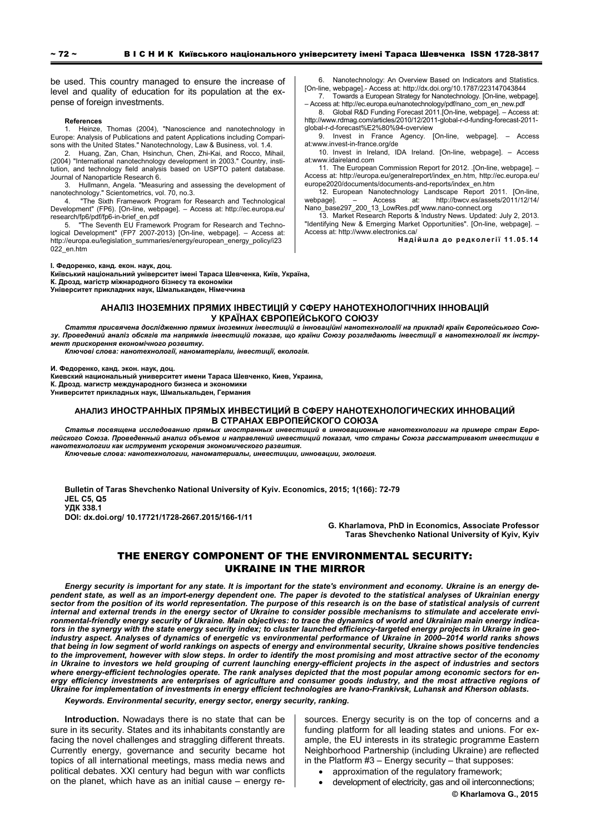be used. This country managed to ensure the increase of level and quality of education for its population at the expense of foreign investments.

#### **References**

1. Heinze, Thomas (2004), "Nanoscience and nanotechnology in Europe: Analysis of Publications and patent Applications including Comparisons with the United States." Nanotechnology, Law & Business, vol. 1.4.

Huang, Zan, Chan, Hsinchun, Chen, Zhi-Kai, and Rocco, Mihail, (2004) "International nanotechnology development in 2003." Country, institution, and technology field analysis based on USPTO patent database. Journal of Nanoparticle Research 6.

3. Hullmann, Angela. "Measuring and assessing the development of nanotechnology." Scientometrics, vol. 70, no.3.

4. "The Sixth Framework Program for Research and Technological Development" (FP6). [On-line, webpage]. – Access at: http://ec.europa.eu/ research/fp6/pdf/fp6-in-brief\_en.pdf<br>5 The Seventh FU Framew

5. "The Seventh EU Framework Program for Research and Technological Development" (FP7 2007-2013) [On-line, webpage]. – Access at: http://europa.eu/legislation\_summaries/energy/european\_energy\_policy/i23 022\_en.htm

#### **І. Федоренко, канд. екон. наук, доц.**

**Київський національний університет імені Тараса Шевченка, Київ, Україна, К. Дрозд, магістр міжнародного бізнесу та економіки Університет прикладних наук, Шмальканден, Німеччина** 

6. Nanotechnology: An Overview Based on Indicators and Statistics. [On-line, webpage].- Access at: http://dx.doi.org/10.1787/223147043844

7. Towards a European Strategy for Nanotechnology. [On-line, webpage]. – Access at: http://ec.europa.eu/nanotechnology/pdf/nano\_com\_en\_new.pdf

8. Global R&D Funding Forecast 2011.[On-line, webpage]. – Access at: http://www.rdmag.com/articles/2010/12/2011-global-r-d-funding-forecast-2011global-r-d-forecast%E2%80%94-overview

9. Invest in France Agency. [On-line, webpage]. – Access at:www.invest-in-france.org/de

10. Invest in Ireland, IDA Ireland. [On-line, webpage]. – Access at:www.idaireland.com

11. The European Commission Report for 2012. .[On-line, webpage]. – Access at: http://europa.eu/generalreport/index\_en.htm, http://ec.europa.eu/ europe2020/documents/documents-and-reports/index\_en.htm

12. European Nanotechnology Landscape Report 2011. [On-line, http://bwcv.es/assets/2011/12/14/ Nano\_base297\_200\_13\_LowRes.pdf www.nano-connect.org

13. Market Research Reports & Industry News. Updated: July 2, 2013. "Identifying New & Emerging Market Opportunities". [On-line, webpage]. – Access at: http://www.electronics.ca/

Надійшла до редколегії 11.05.14

**АНАЛІЗ ІНОЗЕМНИХ ПРЯМИХ ІНВЕСТИЦІЙ У СФЕРУ НАНОТЕХНОЛОГІЧНИХ ІННОВАЦІЙ У КРАЇНАХ ЄВРОПЕЙСЬКОГО СОЮЗУ**

Стаття присвячена дослідженню прямих іноземних інвестицій в інноваційні нанотехнології на прикладі країн Європейського Союзу. Проведений аналіз обсягів та напрямків інвестицій показав, що країни Союзу розглядають інвестиції в нанотехнології як інстру*мент прискорення економічного розвитку.* 

*Ключові слова: нанотехнології, наноматеріали, інвестиції, екологія.* 

**И. Федоренко, канд. экон. наук, доц.** 

**Киевский национальный университет имени Тараса Шевченко, Киев, Украина, К. Дрозд. магистр международного бизнеса и экономики**

**Университет прикладных наук, Шмалькальден, Германия**

# **АНАЛИЗ ИНОСТРАННЫХ ПРЯМЫХ ИНВЕСТИЦИЙ В СФЕРУ НАНОТЕХНОЛОГИЧЕСКИХ ИННОВАЦИЙ В СТРАНАХ ЕВРОПЕЙСКОГО СОЮЗА**

*Статья посвящена исследованию прямых иностранных инвестиций в инновационные нанотехнологии на примере стран Евро*пейского Союза. Проведенный анализ объемов и направлений инвестиций показал, что страны Союза рассматривают инвестиции в *нанотехнологии как иструмент ускорения экономического развития.* 

*Ключевые слова: нанотехнологии, наноматериалы, инвестиции, инновации, экология.* 

**Bulletin of Taras Shevchenko National University of Kyiv. Economics, 2015; 1(166): 72-79 JEL C5, Q5 УДК 338.1 DOI: dx.doi.org/ 10.17721/1728-2667.2015/166-1/11** 

**G. Kharlamova, PhD in Economics, Associate Professor Taras Shevchenko National University of Kyiv, Kyiv** 

# THE ENERGY COMPONENT OF THE ENVIRONMENTAL SECURITY: UKRAINE IN THE MIRROR

*Energy security is important for any state. It is important for the state's environment and economy. Ukraine is an energy dependent state, as well as an import-energy dependent one. The paper is devoted to the statistical analyses of Ukrainian energy sector from the position of its world representation. The purpose of this research is on the base of statistical analysis of current internal and external trends in the energy sector of Ukraine to consider possible mechanisms to stimulate and accelerate environmental-friendly energy security of Ukraine. Main objectives: to trace the dynamics of world and Ukrainian main energy indicators in the synergy with the state energy security index; to cluster launched efficiency-targeted energy projects in Ukraine in geoindustry aspect. Analyses of dynamics of energetic vs environmental performance of Ukraine in 2000–2014 world ranks shows that being in low segment of world rankings on aspects of energy and environmental security, Ukraine shows positive tendencies to the improvement, however with slow steps. In order to identify the most promising and most attractive sector of the economy in Ukraine to investors we held grouping of current launching energy-efficient projects in the aspect of industries and sectors where energy-efficient technologies operate. The rank analyses depicted that the most popular among economic sectors for en*ergy efficiency investments are enterprises of agriculture and consumer goods industry, and the most attractive regions of *Ukraine for implementation of investments in energy efficient technologies are Ivano-Frankivsk, Luhansk and Kherson oblasts.* 

*Keywords. Environmental security, energy sector, energy security, ranking.* 

**Introduction.** Nowadays there is no state that can be sure in its security. States and its inhabitants constantly are facing the novel challenges and straggling different threats. Currently energy, governance and security became hot topics of all international meetings, mass media news and political debates. XXI century had begun with war conflicts on the planet, which have as an initial cause – energy re-

sources. Energy security is on the top of concerns and a funding platform for all leading states and unions. For example, the EU interests in its strategic programme Eastern Neighborhood Partnership (including Ukraine) are reflected in the Platform #3 – Energy security – that supposes:

- approximation of the regulatory framework;
- development of electricity, gas and oil interconnections;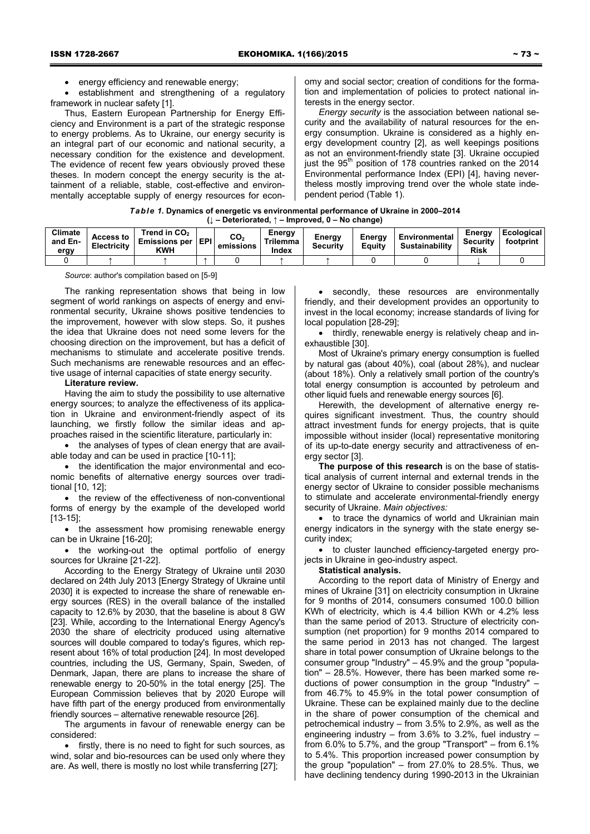• energy efficiency and renewable energy;

 establishment and strengthening of a regulatory framework in nuclear safety [1].

Thus, Eastern European Partnership for Energy Efficiency and Environment is a part of the strategic response to energy problems. As to Ukraine, our energy security is an integral part of our economic and national security, a necessary condition for the existence and development. The evidence of recent few years obviously proved these theses. In modern concept the energy security is the attainment of a reliable, stable, cost-effective and environmentally acceptable supply of energy resources for economy and social sector; creation of conditions for the formation and implementation of policies to protect national interests in the energy sector.

*Energy security* is the association between national security and the availability of natural resources for the energy consumption. Ukraine is considered as a highly energy development country [2], as well keepings positions as not an environment-friendly state [3]. Ukraine occupied just the  $95<sup>th</sup>$  position of 178 countries ranked on the 2014 Environmental performance Index (EPI) [4], having nevertheless mostly improving trend over the whole state independent period (Table 1).

| Table 1. Dynamics of energetic vs environmental performance of Ukraine in 2000–2014 |  |
|-------------------------------------------------------------------------------------|--|
| $(l - \text{Deteriorated}, \uparrow - \text{Improved}, 0 - \text{No change})$       |  |

| Climate<br>and En-<br>ergy | Access to<br><b>Electricity</b> | Trend in $CO2$<br><b>Emissions per</b><br>KWH | EPI | $\mathsf{CO_2}$<br>emissions | Energy<br>Trilemma<br>Index | Energv<br><b>Security</b> | Energy<br>Eauity | Environmental<br><b>Sustainability</b> | Energy<br><b>Security</b><br><b>Risk</b> | <b>Ecological</b><br>footprint |
|----------------------------|---------------------------------|-----------------------------------------------|-----|------------------------------|-----------------------------|---------------------------|------------------|----------------------------------------|------------------------------------------|--------------------------------|
|                            |                                 |                                               |     |                              |                             |                           |                  |                                        |                                          |                                |
|                            |                                 |                                               |     |                              |                             |                           |                  |                                        |                                          |                                |

#### *Source*: author's compilation based on [5-9]

The ranking representation shows that being in low segment of world rankings on aspects of energy and environmental security, Ukraine shows positive tendencies to the improvement, however with slow steps. So, it pushes the idea that Ukraine does not need some levers for the choosing direction on the improvement, but has a deficit of mechanisms to stimulate and accelerate positive trends. Such mechanisms are renewable resources and an effective usage of internal capacities of state energy security.

#### **Literature review.**

Having the aim to study the possibility to use alternative energy sources; to analyze the effectiveness of its application in Ukraine and environment-friendly aspect of its launching, we firstly follow the similar ideas and approaches raised in the scientific literature, particularly in:

• the analyses of types of clean energy that are available today and can be used in practice [10-11];

• the identification the major environmental and economic benefits of alternative energy sources over traditional [10, 12];

• the review of the effectiveness of non-conventional forms of energy by the example of the developed world [13-15];

• the assessment how promising renewable energy can be in Ukraine [16-20];

• the working-out the optimal portfolio of energy sources for Ukraine [21-22].

According to the Energy Strategy of Ukraine until 2030 declared on 24th July 2013 [Energy Strategy of Ukraine until 2030] it is expected to increase the share of renewable energy sources (RES) in the overall balance of the installed capacity to 12.6% by 2030, that the baseline is about 8 GW [23]. While, according to the International Energy Agency's 2030 the share of electricity produced using alternative sources will double compared to today's figures, which represent about 16% of total production [24]. In most developed countries, including the US, Germany, Spain, Sweden, of Denmark, Japan, there are plans to increase the share of renewable energy to 20-50% in the total energy [25]. The European Commission believes that by 2020 Europe will have fifth part of the energy produced from environmentally friendly sources – alternative renewable resource [26].

The arguments in favour of renewable energy can be considered:

• firstly, there is no need to fight for such sources, as wind, solar and bio-resources can be used only where they are. As well, there is mostly no lost while transferring [27];

 secondly, these resources are environmentally friendly, and their development provides an opportunity to invest in the local economy; increase standards of living for local population [28-29];

• thirdly, renewable energy is relatively cheap and inexhaustible [30].

Most of Ukraine's primary energy consumption is fuelled by natural gas (about 40%), coal (about 28%), and nuclear (about 18%). Only a relatively small portion of the country's total energy consumption is accounted by petroleum and other liquid fuels and renewable energy sources [6].

Herewith, the development of alternative energy requires significant investment. Thus, the country should attract investment funds for energy projects, that is quite impossible without insider (local) representative monitoring of its up-to-date energy security and attractiveness of energy sector [3].

**The purpose of this research** is on the base of statistical analysis of current internal and external trends in the energy sector of Ukraine to consider possible mechanisms to stimulate and accelerate environmental-friendly energy security of Ukraine. *Main objectives:* 

• to trace the dynamics of world and Ukrainian main energy indicators in the synergy with the state energy security index;

 to cluster launched efficiency-targeted energy projects in Ukraine in geo-industry aspect.

## **Statistical analysis.**

According to the report data of Ministry of Energy and mines of Ukraine [31] on electricity consumption in Ukraine for 9 months of 2014, consumers consumed 100.0 billion KWh of electricity, which is 4.4 billion KWh or 4.2% less than the same period of 2013. Structure of electricity consumption (net proportion) for 9 months 2014 compared to the same period in 2013 has not changed. The largest share in total power consumption of Ukraine belongs to the consumer group "Industry" – 45.9% and the group "population" – 28.5%. However, there has been marked some reductions of power consumption in the group "Industry" – from 46.7% to 45.9% in the total power consumption of Ukraine. These can be explained mainly due to the decline in the share of power consumption of the chemical and petrochemical industry – from 3.5% to 2.9%, as well as the engineering industry – from  $3.6\%$  to  $3.2\%$ , fuel industry – from 6.0% to 5.7%, and the group "Transport" – from 6.1% to 5.4%. This proportion increased power consumption by the group "population" – from 27.0% to 28.5%. Thus, we have declining tendency during 1990-2013 in the Ukrainian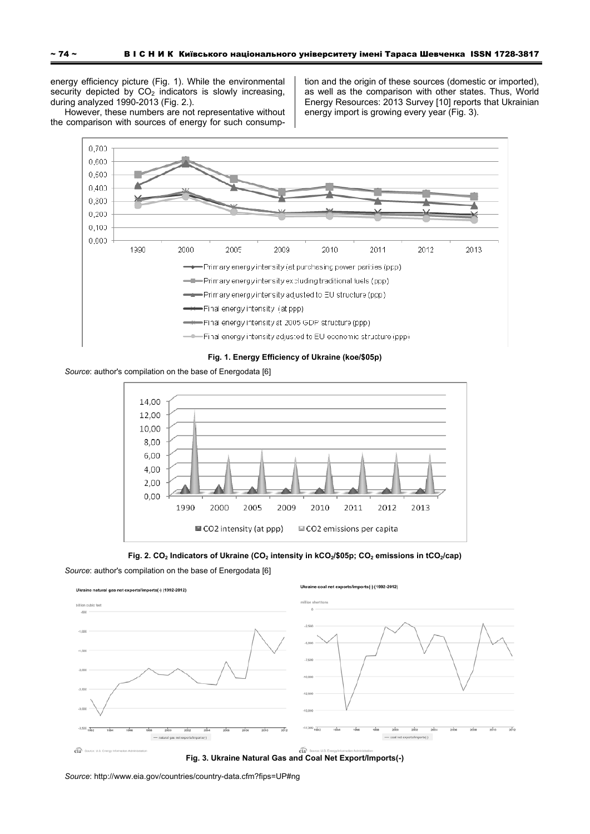energy efficiency picture (Fig. 1). While the environmental security depicted by  $CO<sub>2</sub>$  indicators is slowly increasing, during analyzed 1990-2013 (Fig. 2.).

However, these numbers are not representative without the comparison with sources of energy for such consumption and the origin of these sources (domestic or imported), as well as the comparison with other states. Thus, World Energy Resources: 2013 Survey [10] reports that Ukrainian energy import is growing every year (Fig. 3).



**Fig. 1. Energy Efficiency of Ukraine (koe/\$05p)** 

*Source*: author's compilation on the base of Energodata [6]





*Source*: author's compilation on the base of Energodata [6]





*Source*: http://www.eia.gov/countries/country-data.cfm?fips=UP#ng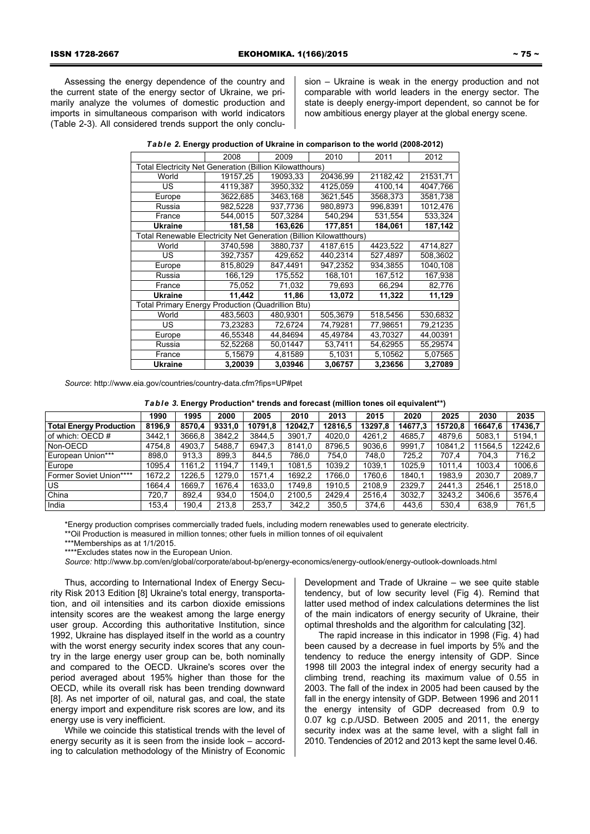Assessing the energy dependence of the country and the current state of the energy sector of Ukraine, we primarily analyze the volumes of domestic production and imports in simultaneous comparison with world indicators (Table 2-3). All considered trends support the only conclusion – Ukraine is weak in the energy production and not comparable with world leaders in the energy sector. The state is deeply energy-import dependent, so cannot be for now ambitious energy player at the global energy scene.

|                                                                    | 2008                                                     | 2009                         | 2010     | 2011     | 2012     |  |  |  |  |
|--------------------------------------------------------------------|----------------------------------------------------------|------------------------------|----------|----------|----------|--|--|--|--|
|                                                                    | Total Electricity Net Generation (Billion Kilowatthours) |                              |          |          |          |  |  |  |  |
| World                                                              | 19157,25                                                 | 19093,33                     | 20436,99 | 21182,42 | 21531,71 |  |  |  |  |
| US                                                                 | 4119,387                                                 | 3950,332                     | 4125,059 | 4100,14  | 4047,766 |  |  |  |  |
| Europe                                                             | 3622,685                                                 | 3463,168                     | 3621,545 | 3568,373 | 3581,738 |  |  |  |  |
| Russia                                                             | 982,5228                                                 | 937,7736                     | 980,8973 | 996,8391 | 1012,476 |  |  |  |  |
| France                                                             | 544,0015                                                 | 507,3284                     | 540,294  | 531,554  | 533,324  |  |  |  |  |
| <b>Ukraine</b>                                                     | 181,58                                                   | 163,626                      | 177,851  | 184,061  | 187,142  |  |  |  |  |
| Total Renewable Electricity Net Generation (Billion Kilowatthours) |                                                          |                              |          |          |          |  |  |  |  |
| World                                                              | 3740,598                                                 | 3880,737                     | 4187,615 | 4423,522 | 4714,827 |  |  |  |  |
| US                                                                 | 392,7357                                                 | 429,652                      | 440,2314 | 527,4897 | 508,3602 |  |  |  |  |
| Europe                                                             | 815,8029                                                 | 847,4491                     | 947,2352 | 934,3855 | 1040,108 |  |  |  |  |
| Russia                                                             | 166,129                                                  | 175,552                      | 168,101  | 167,512  | 167,938  |  |  |  |  |
| France                                                             | 75,052                                                   | 71,032                       | 79,693   | 66,294   | 82,776   |  |  |  |  |
| <b>Ukraine</b>                                                     | 11,442                                                   | 11,86                        | 13,072   | 11,322   | 11,129   |  |  |  |  |
| <b>Total Primary</b><br>Energy                                     |                                                          | Production (Quadrillion Btu) |          |          |          |  |  |  |  |
| World                                                              | 483,5603                                                 | 480,9301                     | 505,3679 | 518,5456 | 530,6832 |  |  |  |  |
| US                                                                 | 73,23283                                                 | 72,6724                      | 74,79281 | 77,98651 | 79,21235 |  |  |  |  |
| Europe                                                             | 46,55348                                                 | 44,84694                     | 45,49784 | 43,70327 | 44,00391 |  |  |  |  |
| Russia                                                             | 52,52268                                                 | 50,01447                     | 53,7411  | 54,62955 | 55,29574 |  |  |  |  |
| France                                                             | 5,15679                                                  | 4,81589                      | 5,1031   | 5,10562  | 5,07565  |  |  |  |  |
| <b>Ukraine</b>                                                     | 3,20039                                                  | 3,03946                      | 3,06757  | 3,23656  | 3,27089  |  |  |  |  |

*Source*: http://www.eia.gov/countries/country-data.cfm?fips=UP#pet

## *Table 3.* **Energy Production\* trends and forecast (million tones oil equivalent\*\*)**

|                                | 1990   | 1995   | 2000   | 2005    | 2010    | 2013    | 2015    | 2020    | 2025    | 2030    | 2035    |
|--------------------------------|--------|--------|--------|---------|---------|---------|---------|---------|---------|---------|---------|
| <b>Total Energy Production</b> | 8196.9 | 8570.4 | 9331.0 | 10791.8 | 12042.7 | 12816.5 | 13297.8 | 14677.3 | 15720.8 | 16647.6 | 17436.7 |
| of which: OECD #               | 3442.1 | 3666,8 | 3842,2 | 3844.5  | 3901.7  | 4020,0  | 4261.2  | 4685.7  | 4879.6  | 5083.1  | 5194,1  |
| Non-OECD                       | 4754,8 | 4903.7 | 5488.7 | 6947.3  | 8141.0  | 8796.5  | 9036.6  | 9991,7  | 10841.2 | 1564.5  | 12242.6 |
| European Union***              | 898,0  | 913.3  | 899,3  | 844.5   | 786,0   | 754,0   | 748,0   | 725.2   | 707.4   | 704.3   | 716,2   |
| Europe                         | 1095.4 | 1161.2 | 1194.7 | 1149.1  | 1081.5  | 1039.2  | 1039.1  | 1025.9  | 1011.4  | 1003.4  | 1006,6  |
| Former Soviet Union****        | 1672.2 | 1226.5 | 1279.0 | 1571.4  | 1692.2  | 766.0   | 1760.6  | 1840.1  | 1983.9  | 2030.7  | 2089,7  |
| l US                           | 1664.4 | 1669.7 | 1676.4 | 1633.0  | 1749.8  | 1910.5  | 2108,9  | 2329.7  | 2441.3  | 2546.1  | 2518,0  |
| China                          | 720,7  | 892.4  | 934,0  | 1504.0  | 2100.5  | 2429.4  | 2516,4  | 3032,7  | 3243,2  | 3406,6  | 3576,4  |
| India                          | 153.4  | 190,4  | 213,8  | 253,7   | 342.2   | 350,5   | 374,6   | 443,6   | 530,4   | 638,9   | 761,5   |

\*Energy production comprises commercially traded fuels, including modern renewables used to generate electricity.

\*\*Oil Production is measured in million tonnes; other fuels in million tonnes of oil equivalent

\*\*\*Memberships as at 1/1/2015.

\*\*\*\*Excludes states now in the European Union.

*Source:* http://www.bp.com/en/global/corporate/about-bp/energy-economics/energy-outlook/energy-outlook-downloads.html

Thus, according to International Index of Energy Security Risk 2013 Edition [8] Ukraine's total energy, transportation, and oil intensities and its carbon dioxide emissions intensity scores are the weakest among the large energy user group. According this authoritative Institution, since 1992, Ukraine has displayed itself in the world as a country with the worst energy security index scores that any country in the large energy user group can be, both nominally and compared to the OECD. Ukraine's scores over the period averaged about 195% higher than those for the OECD, while its overall risk has been trending downward [8]. As net importer of oil, natural gas, and coal, the state energy import and expenditure risk scores are low, and its energy use is very inefficient.

While we coincide this statistical trends with the level of energy security as it is seen from the inside look – according to calculation methodology of the Ministry of Economic Development and Trade of Ukraine – we see quite stable tendency, but of low security level (Fig 4). Remind that latter used method of index calculations determines the list of the main indicators of energy security of Ukraine, their optimal thresholds and the algorithm for calculating [32].

The rapid increase in this indicator in 1998 (Fig. 4) had been caused by a decrease in fuel imports by 5% and the tendency to reduce the energy intensity of GDP. Since 1998 till 2003 the integral index of energy security had a climbing trend, reaching its maximum value of 0.55 in 2003. The fall of the index in 2005 had been caused by the fall in the energy intensity of GDP. Between 1996 and 2011 the energy intensity of GDP decreased from 0.9 to 0.07 kg c.p./USD. Between 2005 and 2011, the energy security index was at the same level, with a slight fall in 2010. Tendencies of 2012 and 2013 kept the same level 0.46.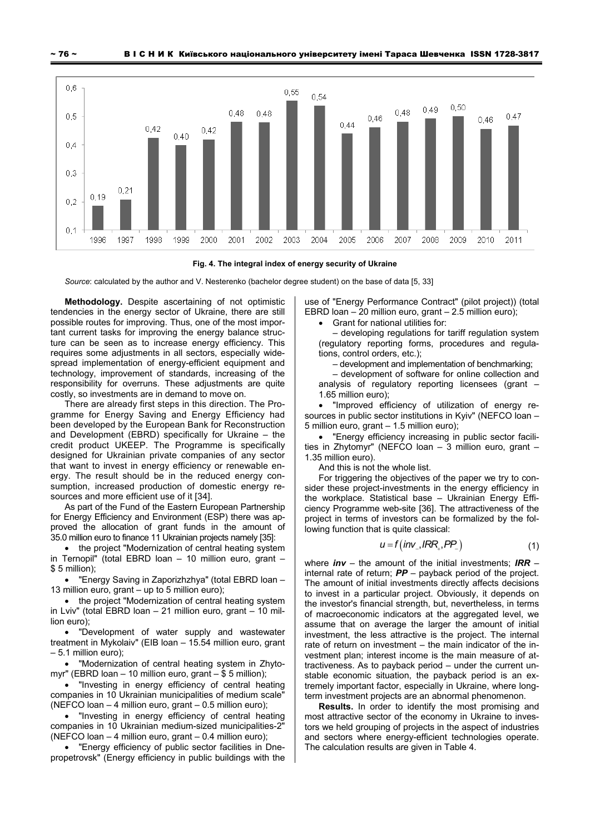



*Source*: calculated by the author and V. Nesterenko (bachelor degree student) on the base of data [5, 33]

**Methodology.** Despite ascertaining of not optimistic tendencies in the energy sector of Ukraine, there are still possible routes for improving. Thus, one of the most important current tasks for improving the energy balance structure can be seen as to increase energy efficiency. This requires some adjustments in all sectors, especially widespread implementation of energy-efficient equipment and technology, improvement of standards, increasing of the responsibility for overruns. These adjustments are quite costly, so investments are in demand to move on.

There are already first steps in this direction. The Programme for Energy Saving and Energy Efficiency had been developed by the European Bank for Reconstruction and Development (EBRD) specifically for Ukraine – the credit product UKEEP. The Programme is specifically designed for Ukrainian private companies of any sector that want to invest in energy efficiency or renewable energy. The result should be in the reduced energy consumption, increased production of domestic energy resources and more efficient use of it [34].

As part of the Fund of the Eastern European Partnership for Energy Efficiency and Environment (ESP) there was approved the allocation of grant funds in the amount of 35.0 million euro to finance 11 Ukrainian projects namely [35]:

• the project "Modernization of central heating system in Ternopil" (total EBRD loan – 10 million euro, grant – \$ 5 million);

 "Energy Saving in Zaporizhzhya" (total EBRD loan – 13 million euro, grant – up to 5 million euro);

• the project "Modernization of central heating system in Lviv" (total EBRD loan – 21 million euro, grant – 10 million euro);

 "Development of water supply and wastewater treatment in Mykolaiv" (EIB loan – 15.54 million euro, grant – 5.1 million euro);

 "Modernization of central heating system in Zhytomyr" (EBRD loan – 10 million euro, grant – \$ 5 million);

 "Investing in energy efficiency of central heating companies in 10 Ukrainian municipalities of medium scale" (NEFCO loan – 4 million euro, grant – 0.5 million euro);

 "Investing in energy efficiency of central heating companies in 10 Ukrainian medium-sized municipalities-2" (NEFCO loan – 4 million euro, grant – 0.4 million euro);

 "Energy efficiency of public sector facilities in Dnepropetrovsk" (Energy efficiency in public buildings with the use of "Energy Performance Contract" (pilot project)) (total EBRD loan – 20 million euro, grant – 2.5 million euro);

Grant for national utilities for:

– developing regulations for tariff regulation system (regulatory reporting forms, procedures and regulations, control orders, etc.);

– development and implementation of benchmarking;

– development of software for online collection and analysis of regulatory reporting licensees (grant – 1.65 million euro);

 "Improved efficiency of utilization of energy resources in public sector institutions in Kyiv" (NEFCO loan – 5 million euro, grant – 1.5 million euro);

 "Energy efficiency increasing in public sector facilities in Zhytomyr" (NEFCO loan – 3 million euro, grant – 1.35 million euro).

And this is not the whole list.

For triggering the objectives of the paper we try to consider these project-investments in the energy efficiency in the workplace. Statistical base – Ukrainian Energy Efficiency Programme web-site [36]. The attractiveness of the project in terms of investors can be formalized by the following function that is quite classical:

$$
u = f\left(i\text{nv}_{-},\text{IRR}_{+},\text{PP}_{-}\right) \tag{1}
$$

where *inv* – the amount of the initial investments; *IRR* – internal rate of return; *PP* – payback period of the project. The amount of initial investments directly affects decisions to invest in a particular project. Obviously, it depends on the investor's financial strength, but, nevertheless, in terms of macroeconomic indicators at the aggregated level, we assume that on average the larger the amount of initial investment, the less attractive is the project. The internal rate of return on investment – the main indicator of the investment plan; interest income is the main measure of attractiveness. As to payback period – under the current unstable economic situation, the payback period is an extremely important factor, especially in Ukraine, where longterm investment projects are an abnormal phenomenon.

**Results.** In order to identify the most promising and most attractive sector of the economy in Ukraine to investors we held grouping of projects in the aspect of industries and sectors where energy-efficient technologies operate. The calculation results are given in Table 4.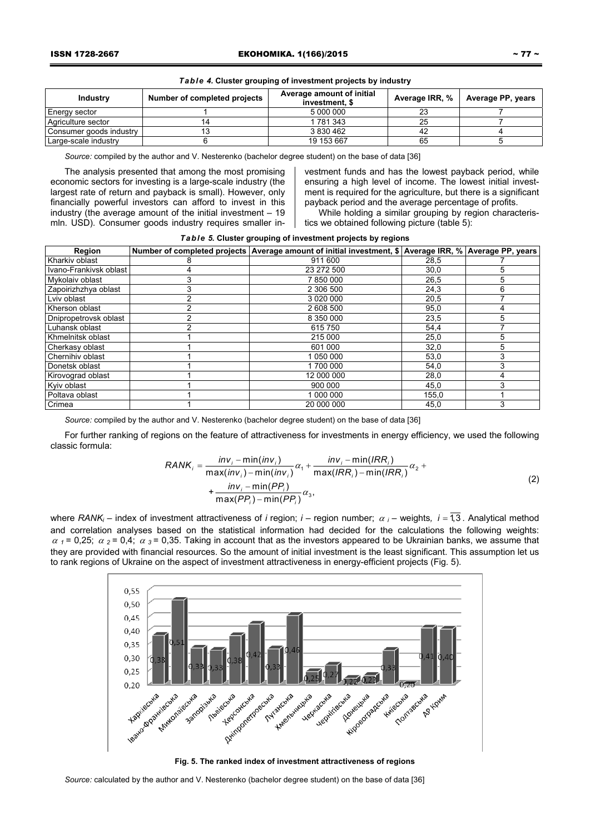| <b>Industry</b>         | Number of completed projects | Average amount of initial<br>investment. \$ | Average IRR, % | Average PP, years |
|-------------------------|------------------------------|---------------------------------------------|----------------|-------------------|
| Energy sector           |                              | 5 000 000                                   |                |                   |
| Agriculture sector      |                              | 1 781 343                                   | 25             |                   |
| Consumer goods industry |                              | 3 830 462                                   |                |                   |
| Large-scale industry    |                              | 19 153 667                                  | 65             |                   |

## *Table 4.* **Cluster grouping of investment projects by industry**

*Source:* compiled by the author and V. Nesterenko (bachelor degree student) on the base of data [36]

The analysis presented that among the most promising economic sectors for investing is a large-scale industry (the largest rate of return and payback is small). However, only financially powerful investors can afford to invest in this industry (the average amount of the initial investment  $-19$ mln. USD). Consumer goods industry requires smaller in-

vestment funds and has the lowest payback period, while ensuring a high level of income. The lowest initial investment is required for the agriculture, but there is a significant payback period and the average percentage of profits.

While holding a similar grouping by region characteristics we obtained following picture (table 5):

|  | Table 5. Cluster grouping of investment projects by regions |  |  |  |
|--|-------------------------------------------------------------|--|--|--|
|--|-------------------------------------------------------------|--|--|--|

| Region                 | Number of completed projects   Average amount of initial investment, \$   Average IRR, %   Average PP, years |       |    |
|------------------------|--------------------------------------------------------------------------------------------------------------|-------|----|
| Kharkiy oblast         | 911 600                                                                                                      | 28.5  |    |
| Ivano-Frankivsk oblast | 23 272 500                                                                                                   | 30,0  |    |
| Mykolaiv oblast        | 7850000                                                                                                      | 26,5  | ٠h |
| Zapoirizhzhya oblast   | 2 306 500                                                                                                    | 24,3  |    |
| Lviv oblast            | 3 020 000                                                                                                    | 20,5  |    |
| Kherson oblast         | 2 608 500                                                                                                    | 95,0  |    |
| Dnipropetrovsk oblast  | 8 350 000                                                                                                    | 23,5  |    |
| Luhansk oblast         | 615 750                                                                                                      | 54,4  |    |
| Khmelnitsk oblast      | 215 000                                                                                                      | 25,0  |    |
| Cherkasy oblast        | 601 000                                                                                                      | 32,0  |    |
| Chernihiv oblast       | 1 050 000                                                                                                    | 53,0  |    |
| Donetsk oblast         | 1700 000                                                                                                     | 54,0  |    |
| Kirovograd oblast      | 12 000 000                                                                                                   | 28,0  |    |
| Kyiv oblast            | 900 000                                                                                                      | 45,0  |    |
| Poltava oblast         | 1 000 000                                                                                                    | 155,0 |    |
| Crimea                 | 20 000 000                                                                                                   | 45,0  |    |

*Source:* compiled by the author and V. Nesterenko (bachelor degree student) on the base of data [36]

For further ranking of regions on the feature of attractiveness for investments in energy efficiency, we used the following classic formula:

$$
RANK_{i} = \frac{inv_{i} - \min(inv_{i})}{\max(inv_{i}) - \min(inv_{i})}\alpha_{1} + \frac{inv_{i} - \min(RR_{i})}{\max(RR_{i}) - \min(RR_{i})}\alpha_{2} + \frac{inv_{i} - \min(PP_{i})}{\max(PP_{i}) - \min(PP_{i})}\alpha_{3},
$$
\n(2)

where  $RANK_i$  – index of investment attractiveness of *i* region; *i* – region number;  $\alpha_i$  – weights, *i* =  $\overline{1,3}$ . Analytical method and correlation analyses based on the statistical information had decided for the calculations the following weights:  $\alpha$ <sub>1</sub> = 0,25;  $\alpha$ <sub>2</sub> = 0,4;  $\alpha$ <sub>3</sub> = 0,35. Taking in account that as the investors appeared to be Ukrainian banks, we assume that they are provided with financial resources. So the amount of initial investment is the least significant. This assumption let us to rank regions of Ukraine on the aspect of investment attractiveness in energy-efficient projects (Fig. 5).



**Fig. 5. The ranked index of investment attractiveness of regions** 

*Source:* calculated by the author and V. Nesterenko (bachelor degree student) on the base of data [36]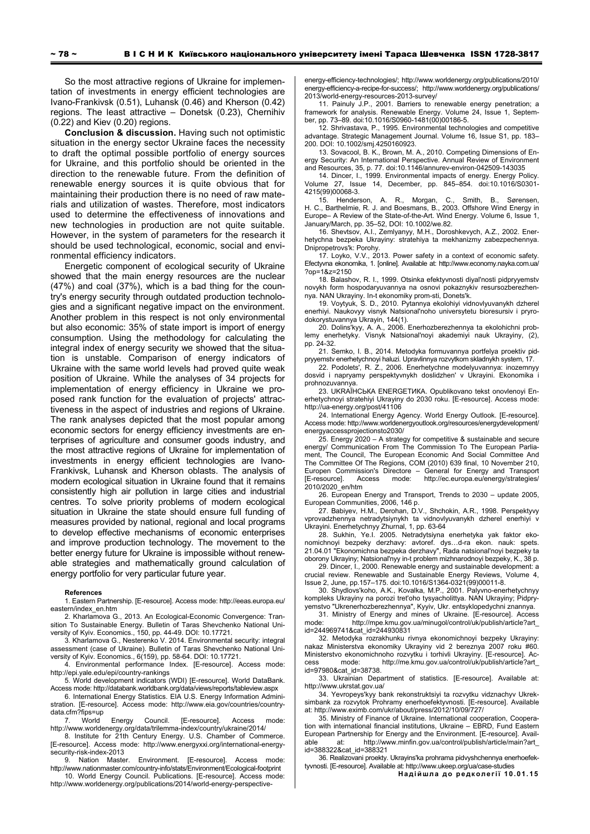So the most attractive regions of Ukraine for implementation of investments in energy efficient technologies are Ivano-Frankivsk (0.51), Luhansk (0.46) and Kherson (0.42) regions. The least attractive – Donetsk (0.23), Chernihiv (0.22) and Kiev (0.20) regions.

**Conclusion & discussion.** Having such not optimistic situation in the energy sector Ukraine faces the necessity to draft the optimal possible portfolio of energy sources for Ukraine, and this portfolio should be oriented in the direction to the renewable future. From the definition of renewable energy sources it is quite obvious that for maintaining their production there is no need of raw materials and utilization of wastes. Therefore, most indicators used to determine the effectiveness of innovations and new technologies in production are not quite suitable. However, in the system of parameters for the research it should be used technological, economic, social and environmental efficiency indicators.

Energetic component of ecological security of Ukraine showed that the main energy resources are the nuclear (47%) and coal (37%), which is a bad thing for the country's energy security through outdated production technologies and a significant negative impact on the environment. Another problem in this respect is not only environmental but also economic: 35% of state import is import of energy consumption. Using the methodology for calculating the integral index of energy security we showed that the situation is unstable. Comparison of energy indicators of Ukraine with the same world levels had proved quite weak position of Ukraine. While the analyses of 34 projects for implementation of energy efficiency in Ukraine we proposed rank function for the evaluation of projects' attractiveness in the aspect of industries and regions of Ukraine. The rank analyses depicted that the most popular among economic sectors for energy efficiency investments are enterprises of agriculture and consumer goods industry, and the most attractive regions of Ukraine for implementation of investments in energy efficient technologies are Ivano-Frankivsk, Luhansk and Kherson oblasts. The analysis of modern ecological situation in Ukraine found that it remains consistently high air pollution in large cities and industrial centres. To solve priority problems of modern ecological situation in Ukraine the state should ensure full funding of measures provided by national, regional and local programs to develop effective mechanisms of economic enterprises and improve production technology. The movement to the better energy future for Ukraine is impossible without renewable strategies and mathematically ground calculation of energy portfolio for very particular future year.

#### **References**

1. Eastern Partnership. [E-resource]. Access mode: http://eeas.europa.eu/ eastern/index\_en.htm

2. Kharlamova G., 2013. An Ecological-Economic Convergence: Transition To Sustainable Energy. Bulletin of Taras Shevchenko National University of Kyiv. Economics., 150, pp. 44-49. DOI: 10.17721.

3. Kharlamova G., Nesterenko V. 2014. Environmental security: integral assessment (case of Ukraine). Bulletin of Taras Shevchenko National University of Kyiv. Economics., 6(159), pp. 58-64. DOI: 10.17721.

4. Environmental performance Index. [E-resource]. Access mode: http://epi.yale.edu/epi/country-rankings

5. World development indicators (WDI) [E-resource]. World DataBank. Access mode: http://databank.worldbank.org/data/views/reports/tableview.aspx

6. International Energy Statistics. EIA U.S. Energy Information Administration. [E-resource]. Access mode: http://www.eia.gov/countries/countrydata.cfm?fips=up<br>7 World

7. World Energy Council. [E-resource]. Access mode: http://www.worldenergy.org/data/trilemma-index/country/ukraine/2014/

8. Institute for 21th Century Energy. U.S. Chamber of Commerce. [E-resource]. Access mode: http://www.energyxxi.org/international-energysecurity-risk-index-2013

9. Nation Master. Environment. [E-resource]. Access mode: http://www.nationmaster.com/country-info/stats/Environment/Ecological-footprint

10. World Energy Council. Publications. [E-resource]. Access mode: http://www.worldenergy.org/publications/2014/world-energy-perspectiveenergy-efficiency-technologies/; http://www.worldenergy.org/publications/2010/ energy-efficiency-a-recipe-for-success/; http://www.worldenergy.org/publications/ 2013/world-energy-resources-2013-survey/

11. Painuly J.P., 2001. Barriers to renewable energy penetration; a framework for analysis. Renewable Energy. Volume 24, Issue 1, September, pp. 73–89. doi:10.1016/S0960-1481(00)00186-5.

12. Shrivastava, P., 1995. Environmental technologies and competitive advantage. Strategic Management Journal. Volume 16, Issue S1, pp. 183– 200. DOI: 10.1002/smj.4250160923.

13. Sovacool, B. K., Brown, M. A., 2010. Competing Dimensions of Energy Security: An International Perspective. Annual Review of Environment and Resources, 35, p. 77. doi:10.1146/annurev-environ-042509-143035

14. Dincer, I., 1999. Environmental impacts of energy. Energy Policy. Volume 27, Issue 14, December, pp. 845–854. doi:10.1016/S0301- 4215(99)00068-3.

15. Henderson, A. R., Morgan, C., Smith, B., Sørensen, H. C., Barthelmie, R. J. and Boesmans, B., 2003. Offshore Wind Energy in Europe– A Review of the State-of-the-Art. Wind Energy. Volume 6, Issue 1, January/March, pp. 35–52, DOI: 10.1002/we.82.

16. Shevtsov, A.I., Zemlyanyy, M.H., Doroshkevych, A.Z., 2002. Enerhetychna bezpeka Ukrayiny: stratehiya ta mekhanizmy zabezpechennya. Dnipropetrovs'k: Porohy.

17. Loyko, V.V., 2013. Power safety in a context of economic safety. Efectyvna ekonomika, 1. [online]. Available at: http://www.economy.nayka.com.ua/ ?op=1&z=2150

18. Balashov, R. I., 1999. Otsinka efektyvnosti diyal'nosti pidpryyemstv novykh form hospodaryuvannya na osnovi pokaznykiv resursozberezhennya. NAN Ukrayiny. In-t ekonomiky prom-sti, Donets'k.

19. Voytyuk, S. D., 2010. Pytannya ekolohiyi vidnovlyuvanykh dzherel enerhiyi. Naukovyy visnyk Natsional'noho universytetu bioresursiv i pryrodokorystuvannya Ukrayin, 144(1).

20. Dolins'kyy, A. A., 2006. Enerhozberezhennya ta ekolohichni problemy enerhetyky. Visnyk Natsional'noyi akademiyi nauk Ukrayiny, (2), pp. 24-32.

21. Semko, I. B., 2014. Metodyka formuvannya portfelya proektiv pidpryyemstv enerhetychnoyi haluzi. Upravlinnya rozvytkom skladnykh system, 17.

22. Podolets', R. Z., 2006. Enerhetychne modelyuvannya: inozemnyy dosvid i napryamy perspektyvnykh doslidzhen' v Ukrayini. Ekonomika i prohnozuvannya.

23. UKRАЇНСЬКА ENERGЕТИКА. Opublikovano tekst onovlenoyi Enerhetychnoyi stratehiyi Ukrayiny do 2030 roku. [E-resource]. Access mode: http://ua-energy.org/post/41106

24. International Energy Agency. World Energy Outlook. [E-resource]. Access mode: http://www.worldenergyoutlook.org/resources/energydevelopment/ energyaccessprojectionsto2030/

25. Energy 2020 – A strategy for competitive & sustainable and secure energy/ Communication From The Commission To The European Parliament, The Council, The European Economic And Social Committee And The Committee Of The Regions, COM (2010) 639 final, 10 November 210, Europen Commission's Directore – General for Energy and Transport [E-resource]. Access mode: http://ec.europa.eu/energy/strategies/ 2010/2020\_en/htm

26. European Energy and Transport, Trends to 2030 – update 2005, European Communities, 2006, 146 p.

27. Babiyev, H.M., Derohan, D.V., Shchokin, A.R., 1998. Perspektyvy vprovadzhennya netradytsiynykh ta vidnovlyuvanykh dzherel enerhiyi v Ukrayini. Enerhetychnyy Zhurnal, 1, pp. 63-64

28. Sukhin, Ye.I. 2005. Netradytsiyna enerhetyka yak faktor ekonomichnoyi bezpeky derzhavy: avtoref. dys…d-ra ekon. nauk: spets. 21.04.01 "Ekonomichna bezpeka derzhavy", Rada natsional'noyi bezpeky ta oborony Ukrayiny; Natsional'nyy in-t problem mizhnarodnoyi bezpeky, K., 38 p.

29. Dincer, I., 2000. Renewable energy and sustainable development: a crucial review. Renewable and Sustainable Energy Reviews, Volume 4, Issue 2, June, pp.157–175. doi:10.1016/S1364-0321(99)00011-8.

30. Shydlovs'koho, A.K., Kovalka, M.P., 2001. Palyvno-enerhetychnyy kompleks Ukrayiny na porozi tret'oho tysyacholittya. NAN Ukrayiny; Pidpryyemstvo "Ukrenerhozberezhennya", Kyyiv, Ukr. entsyklopedychni znannya.

31. Ministry of Energy and mines of Ukraine. [E-resource]. Access mode: http://mpe.kmu.gov.ua/minugol/control/uk/publish/article?art\_ id=244969741&cat\_id=244930831

32. Metodyka rozrakhunku rivnya ekonomichnoyi bezpeky Ukrayiny: nakaz Ministerstva ekonomiky Ukrayiny vid 2 bereznya 2007 roku #60. Ministerstvo ekonomichnoho rozvytku i torhivli Ukrayiny. [E-resource]. Access mode: http://me.kmu.gov.ua/control/uk/publish/article?art id=97980&cat\_id=38738.

33. Ukrainian Department of statistics. [E-resource]. Available at: http://www.ukrstat.gov.ua/

34. Yevropeys'kyy bank rekonstruktsiyi ta rozvytku vidznachyv Ukreksimbank za rozvytok Prohramy enerhoefektyvnosti. [E-resource]. Available at: http://www.eximb.com/ukr/about/press/2012/10/09/727/

35. Ministry of Finance of Ukraine. International cooperation, Cooperation with international financial institutions, Ukraine – EBRD, Fund Eastern European Partnership for Energy and the Environment. [E-resource]. Available at: http://www.minfin.gov.ua/control/publish/article/main?art\_ id=388322&cat\_id=388321

36. Realizovani proekty. Ukrayins'ka prohrama pidvyshchennya enerhoefektyvnosti. [E-resource]. Available at: http://www.ukeep.org/ua/case-studies Надійшла до редколегії 10.01.15